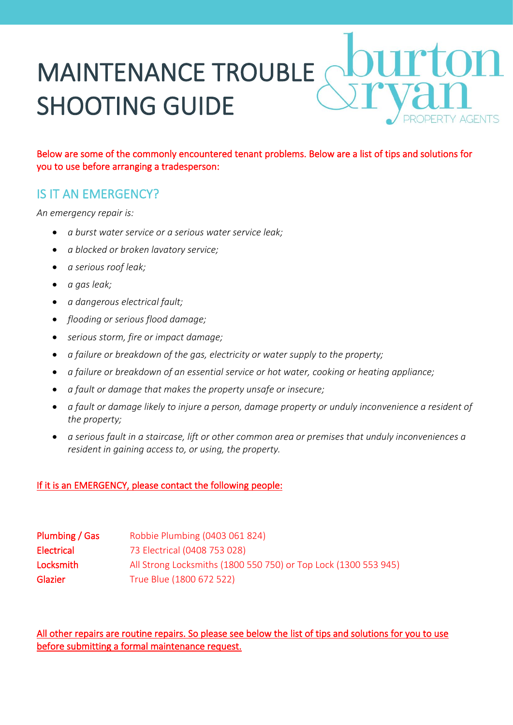# MAINTENANCE TROUBLE SHOOTING GUIDE

Below are some of the commonly encountered tenant problems. Below are a list of tips and solutions for you to use before arranging a tradesperson:

## IS IT AN EMERGENCY?

*An emergency repair is:*

- *a burst water service or a serious water service leak;*
- *a blocked or broken lavatory service;*
- *a serious roof leak;*
- *a gas leak;*
- *a dangerous electrical fault;*
- *flooding or serious flood damage;*
- *serious storm, fire or impact damage;*
- *a failure or breakdown of the gas, electricity or water supply to the property;*
- *a failure or breakdown of an essential service or hot water, cooking or heating appliance;*
- *a fault or damage that makes the property unsafe or insecure;*
- *a fault or damage likely to injure a person, damage property or unduly inconvenience a resident of the property;*
- *a serious fault in a staircase, lift or other common area or premises that unduly inconveniences a resident in gaining access to, or using, the property.*

#### If it is an EMERGENCY, please contact the following people:

| Plumbing / Gas    | Robbie Plumbing (0403 061 824)                                  |
|-------------------|-----------------------------------------------------------------|
| <b>Electrical</b> | 73 Electrical (0408 753 028)                                    |
| Locksmith         | All Strong Locksmiths (1800 550 750) or Top Lock (1300 553 945) |
| Glazier           | True Blue (1800 672 522)                                        |

All other repairs are routine repairs. So please see below the list of tips and solutions for you to use before submitting a formal maintenance request.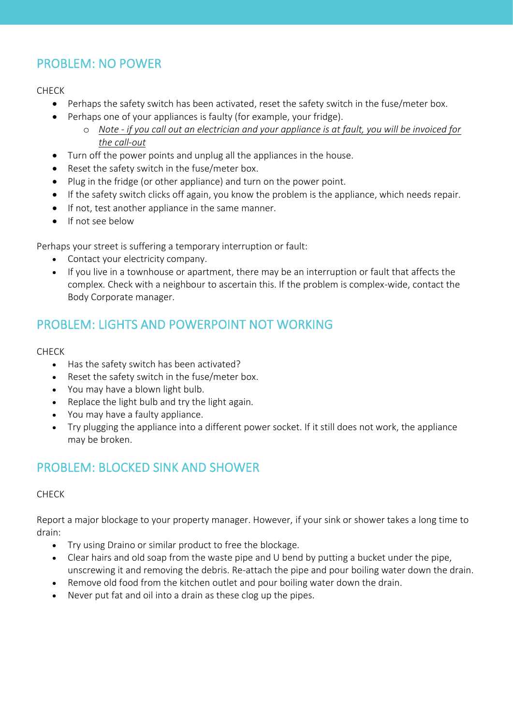# PROBLEM: NO POWER

#### CHECK

- Perhaps the safety switch has been activated, reset the safety switch in the fuse/meter box.
- Perhaps one of your appliances is faulty (for example, your fridge).
	- o *Note - if you call out an electrician and your appliance is at fault, you will be invoiced for the call-out*
- Turn off the power points and unplug all the appliances in the house.
- Reset the safety switch in the fuse/meter box.
- Plug in the fridge (or other appliance) and turn on the power point.
- If the safety switch clicks off again, you know the problem is the appliance, which needs repair.
- If not, test another appliance in the same manner.
- If not see below

Perhaps your street is suffering a temporary interruption or fault:

- Contact your electricity company.
- If you live in a townhouse or apartment, there may be an interruption or fault that affects the complex. Check with a neighbour to ascertain this. If the problem is complex-wide, contact the Body Corporate manager.

## PROBLEM: LIGHTS AND POWERPOINT NOT WORKING

#### CHECK

- Has the safety switch has been activated?
- Reset the safety switch in the fuse/meter box.
- You may have a blown light bulb.
- Replace the light bulb and try the light again.
- You may have a faulty appliance.
- Try plugging the appliance into a different power socket. If it still does not work, the appliance may be broken.

## PROBLEM: BLOCKED SINK AND SHOWER

#### CHECK

Report a major blockage to your property manager. However, if your sink or shower takes a long time to drain:

- Try using Draino or similar product to free the blockage.
- Clear hairs and old soap from the waste pipe and U bend by putting a bucket under the pipe, unscrewing it and removing the debris. Re-attach the pipe and pour boiling water down the drain.
- Remove old food from the kitchen outlet and pour boiling water down the drain.
- Never put fat and oil into a drain as these clog up the pipes.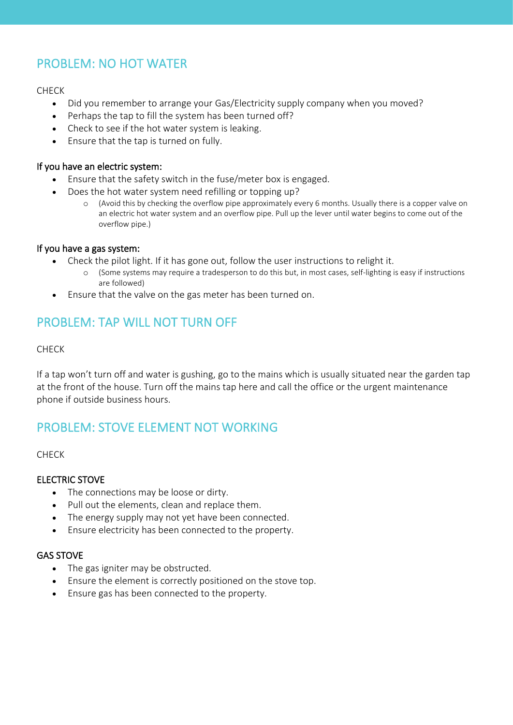# PROBLEM: NO HOT WATER

#### CHECK

- Did you remember to arrange your Gas/Electricity supply company when you moved?
- Perhaps the tap to fill the system has been turned off?
- Check to see if the hot water system is leaking.
- Ensure that the tap is turned on fully.

#### If you have an electric system:

- Ensure that the safety switch in the fuse/meter box is engaged.
- Does the hot water system need refilling or topping up?
	- o (Avoid this by checking the overflow pipe approximately every 6 months. Usually there is a copper valve on an electric hot water system and an overflow pipe. Pull up the lever until water begins to come out of the overflow pipe.)

#### If you have a gas system:

- Check the pilot light. If it has gone out, follow the user instructions to relight it.
	- o (Some systems may require a tradesperson to do this but, in most cases, self-lighting is easy if instructions are followed)
- Ensure that the valve on the gas meter has been turned on.

## PROBLEM: TAP WILL NOT TURN OFF

#### CHECK

If a tap won't turn off and water is gushing, go to the mains which is usually situated near the garden tap at the front of the house. Turn off the mains tap here and call the office or the urgent maintenance phone if outside business hours.

## PROBLEM: STOVE ELEMENT NOT WORKING

#### CHECK

#### ELECTRIC STOVE

- The connections may be loose or dirty.
- Pull out the elements, clean and replace them.
- The energy supply may not yet have been connected.
- Ensure electricity has been connected to the property.

#### GAS STOVE

- The gas igniter may be obstructed.
- Ensure the element is correctly positioned on the stove top.
- Ensure gas has been connected to the property.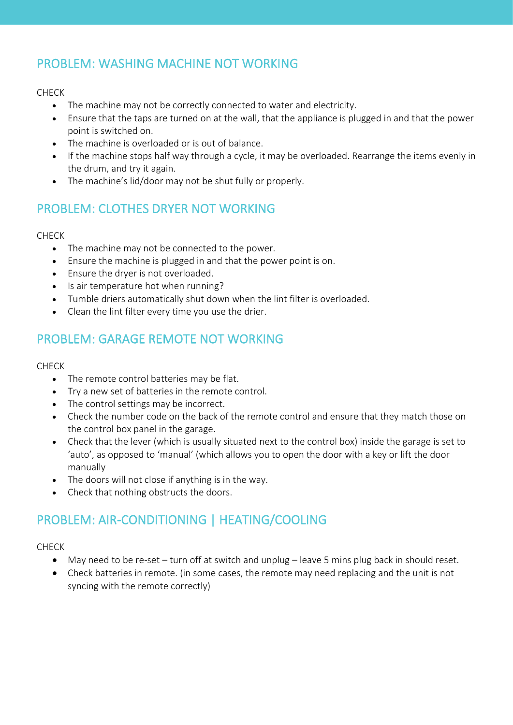# PROBLEM: WASHING MACHINE NOT WORKING

#### CHECK

- The machine may not be correctly connected to water and electricity.
- Ensure that the taps are turned on at the wall, that the appliance is plugged in and that the power point is switched on.
- The machine is overloaded or is out of balance.
- If the machine stops half way through a cycle, it may be overloaded. Rearrange the items evenly in the drum, and try it again.
- The machine's lid/door may not be shut fully or properly.

# PROBLEM: CLOTHES DRYER NOT WORKING

#### CHECK

- The machine may not be connected to the power.
- Ensure the machine is plugged in and that the power point is on.
- Ensure the dryer is not overloaded.
- Is air temperature hot when running?
- Tumble driers automatically shut down when the lint filter is overloaded.
- Clean the lint filter every time you use the drier.

# PROBLEM: GARAGE REMOTE NOT WORKING

#### CHECK

- The remote control batteries may be flat.
- Try a new set of batteries in the remote control.
- The control settings may be incorrect.
- Check the number code on the back of the remote control and ensure that they match those on the control box panel in the garage.
- Check that the lever (which is usually situated next to the control box) inside the garage is set to 'auto', as opposed to 'manual' (which allows you to open the door with a key or lift the door manually
- The doors will not close if anything is in the way.
- Check that nothing obstructs the doors.

# PROBLEM: AIR-CONDITIONING | HEATING/COOLING

#### CHECK

- May need to be re-set turn off at switch and unplug leave 5 mins plug back in should reset.
- Check batteries in remote. (in some cases, the remote may need replacing and the unit is not syncing with the remote correctly)